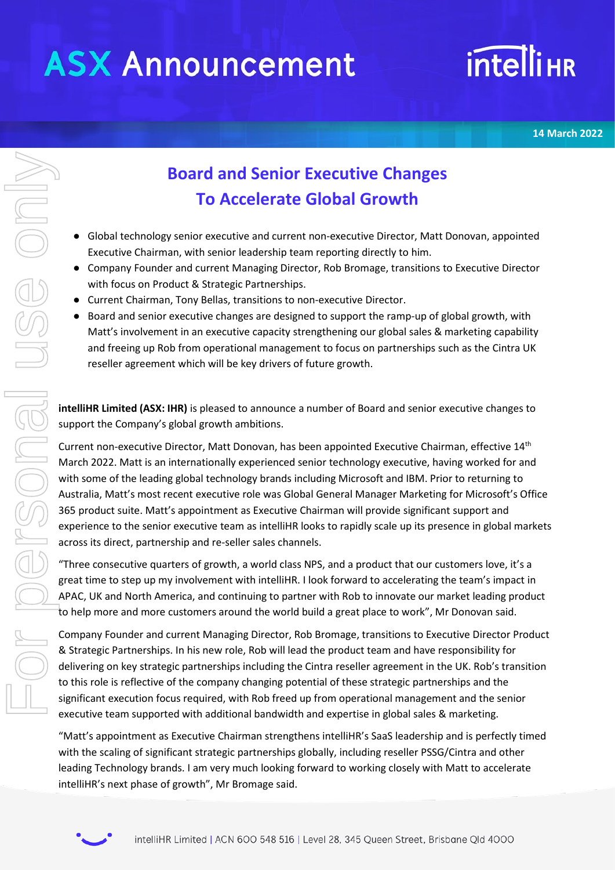# **ASX Announcement**

# **intelli<sub>HR</sub>**

**14 March 2022**

# **intelliHR** similar to the sealing phase of growth and the scatter of growth the scatter of a company followed and search with focus on Product & Strategic Partnership e Current Chairman, Tony Bellas, transitions to the bo

**Board and Senior Executive Changes To Accelerate Global Growth**

- Global technology senior executive and current non-executive Director, Matt Donovan, appointed Executive Chairman, with senior leadership team reporting directly to him.
- Company Founder and current Managing Director, Rob Bromage, transitions to Executive Director with focus on Product & Strategic Partnerships.
- Current Chairman, Tony Bellas, transitions to non-executive Director.
- Board and senior executive changes are designed to support the ramp-up of global growth, with Matt's involvement in an executive capacity strengthening our global sales & marketing capability and freeing up Rob from operational management to focus on partnerships such as the Cintra UK reseller agreement which will be key drivers of future growth.

**intelliHR Limited (ASX: IHR)** is pleased to announce a number of Board and senior executive changes to support the Company's global growth ambitions.

Current non-executive Director, Matt Donovan, has been appointed Executive Chairman, effective 14<sup>th</sup> March 2022. Matt is an internationally experienced senior technology executive, having worked for and with some of the leading global technology brands including Microsoft and IBM. Prior to returning to Australia, Matt's most recent executive role was Global General Manager Marketing for Microsoft's Office 365 product suite. Matt's appointment as Executive Chairman will provide significant support and experience to the senior executive team as intelliHR looks to rapidly scale up its presence in global markets across its direct, partnership and re-seller sales channels.

"Three consecutive quarters of growth, a world class NPS, and a product that our customers love, it's a great time to step up my involvement with intelliHR. I look forward to accelerating the team's impact in APAC, UK and North America, and continuing to partner with Rob to innovate our market leading product to help more and more customers around the world build a great place to work", Mr Donovan said.

Company Founder and current Managing Director, Rob Bromage, transitions to Executive Director Product & Strategic Partnerships. In his new role, Rob will lead the product team and have responsibility for delivering on key strategic partnerships including the Cintra reseller agreement in the UK. Rob's transition to this role is reflective of the company changing potential of these strategic partnerships and the significant execution focus required, with Rob freed up from operational management and the senior executive team supported with additional bandwidth and expertise in global sales & marketing.

"Matt's appointment as Executive Chairman strengthens intelliHR's SaaS leadership and is perfectly timed with the scaling of significant strategic partnerships globally, including reseller PSSG/Cintra and other leading Technology brands. I am very much looking forward to working closely with Matt to accelerate

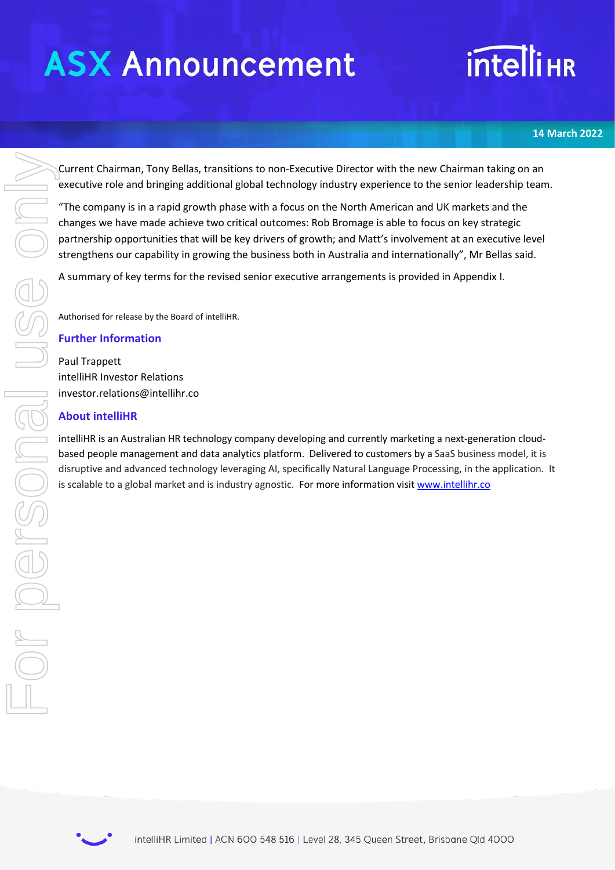# **ASX Announcement**

# **intelliHR**

### **14 March 2022**

Current Chairman, Tony Bellas, transitions to non-Executive Director with the new Chairman taking on an executive role and bringing additional global technology industry experience to the senior leadership team.

"The company is in a rapid growth phase with a focus on the North American and UK markets and the changes we have made achieve two critical outcomes: Rob Bromage is able to focus on key strategic partnership opportunities that will be key drivers of growth; and Matt's involvement at an executive level strengthens our capability in growing the business both in Australia and internationally", Mr Bellas said.

A summary of key terms for the revised senior executive arrangements is provided in Appendix I.

Authorised for release by the Board of intelliHR.

### **Further Information**

Paul Trappett intelliHR Investor Relations investor.relations@intellihr.co

### **About intelliHR**

intelliHR is an Australian HR technology company developing and currently marketing a next-generation cloudbased people management and data analytics platform. Delivered to customers by a SaaS business model, it is disruptive and advanced technology leveraging AI, specifically Natural Language Processing, in the application. It